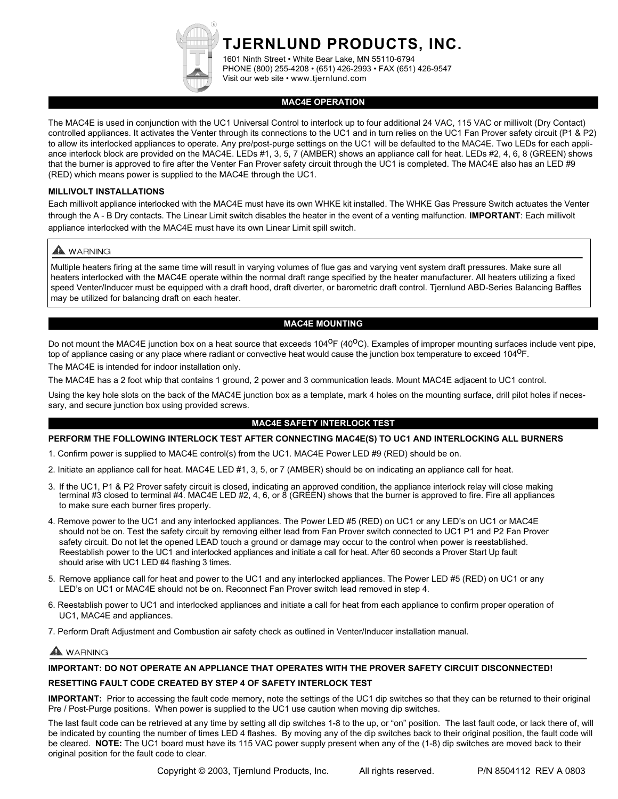**TJERNLUND PRODUCTS, INC.**

1601 Ninth Street • White Bear Lake, MN 55110-6794 PHONE (800) 255-4208 • (651) 426-2993 • FAX (651) 426-9547 Visit our web site • www.tjernlund.com

# **MAC4E OPERATION**

The MAC4E is used in conjunction with the UC1 Universal Control to interlock up to four additional 24 VAC, 115 VAC or millivolt (Dry Contact) controlled appliances. It activates the Venter through its connections to the UC1 and in turn relies on the UC1 Fan Prover safety circuit (P1 & P2) to allow its interlocked appliances to operate. Any pre/post-purge settings on the UC1 will be defaulted to the MAC4E. Two LEDs for each appliance interlock block are provided on the MAC4E. LEDs #1, 3, 5, 7 (AMBER) shows an appliance call for heat. LEDs #2, 4, 6, 8 (GREEN) shows that the burner is approved to fire after the Venter Fan Prover safety circuit through the UC1 is completed. The MAC4E also has an LED #9 (RED) which means power is supplied to the MAC4E through the UC1.

# **MILLIVOLT INSTALLATIONS**

Each millivolt appliance interlocked with the MAC4E must have its own WHKE kit installed. The WHKE Gas Pressure Switch actuates the Venter through the A - B Dry contacts. The Linear Limit switch disables the heater in the event of a venting malfunction. **IMPORTANT**: Each millivolt appliance interlocked with the MAC4E must have its own Linear Limit spill switch.

# A WARNING

Multiple heaters firing at the same time will result in varying volumes of flue gas and varying vent system draft pressures. Make sure all heaters interlocked with the MAC4E operate within the normal draft range specified by the heater manufacturer. All heaters utilizing a fixed speed Venter/Inducer must be equipped with a draft hood, draft diverter, or barometric draft control. Tjernlund ABD-Series Balancing Baffles may be utilized for balancing draft on each heater.

# **MAC4E MOUNTING**

Do not mount the MAC4E junction box on a heat source that exceeds 104<sup>0</sup>F (40<sup>0</sup>C). Examples of improper mounting surfaces include vent pipe, top of appliance casing or any place where radiant or convective heat would cause the junction box temperature to exceed 104<sup>0</sup>F.

The MAC4E is intended for indoor installation only.

The MAC4E has a 2 foot whip that contains 1 ground, 2 power and 3 communication leads. Mount MAC4E adjacent to UC1 control.

Using the key hole slots on the back of the MAC4E junction box as a template, mark 4 holes on the mounting surface, drill pilot holes if necessary, and secure junction box using provided screws.

# **MAC4E SAFETY INTERLOCK TEST**

#### **PERFORM THE FOLLOWING INTERLOCK TEST AFTER CONNECTING MAC4E(S) TO UC1 AND INTERLOCKING ALL BURNERS**

1. Confirm power is supplied to MAC4E control(s) from the UC1. MAC4E Power LED #9 (RED) should be on.

- 2. Initiate an appliance call for heat. MAC4E LED #1, 3, 5, or 7 (AMBER) should be on indicating an appliance call for heat.
- 3. If the UC1, P1 & P2 Prover safety circuit is closed, indicating an approved condition, the appliance interlock relay will close making<br>terminal #3 closed to terminal #4. MAC4E LED #2, 4, 6, or 8 (GREEN) shows that the b to make sure each burner fires properly.
- 4. Remove power to the UC1 and any interlocked appliances. The Power LED #5 (RED) on UC1 or any LED's on UC1 or MAC4E should not be on. Test the safety circuit by removing either lead from Fan Prover switch connected to UC1 P1 and P2 Fan Prover safety circuit. Do not let the opened LEAD touch a ground or damage may occur to the control when power is reestablished. Reestablish power to the UC1 and interlocked appliances and initiate a call for heat. After 60 seconds a Prover Start Up fault should arise with UC1 LED #4 flashing 3 times.
- 5. Remove appliance call for heat and power to the UC1 and any interlocked appliances. The Power LED #5 (RED) on UC1 or any LED's on UC1 or MAC4E should not be on. Reconnect Fan Prover switch lead removed in step 4.
- 6. Reestablish power to UC1 and interlocked appliances and initiate a call for heat from each appliance to confirm proper operation of UC1, MAC4E and appliances.

7. Perform Draft Adjustment and Combustion air safety check as outlined in Venter/Inducer installation manual.

# WARNING

# **IMPORTANT: DO NOT OPERATE AN APPLIANCE THAT OPERATES WITH THE PROVER SAFETY CIRCUIT DISCONNECTED!**

# **RESETTING FAULT CODE CREATED BY STEP 4 OF SAFETY INTERLOCK TEST**

**IMPORTANT:** Prior to accessing the fault code memory, note the settings of the UC1 dip switches so that they can be returned to their original Pre / Post-Purge positions. When power is supplied to the UC1 use caution when moving dip switches.

The last fault code can be retrieved at any time by setting all dip switches 1-8 to the up, or "on" position. The last fault code, or lack there of, will be indicated by counting the number of times LED 4 flashes. By moving any of the dip switches back to their original position, the fault code will be cleared. **NOTE:** The UC1 board must have its 115 VAC power supply present when any of the (1-8) dip switches are moved back to their original position for the fault code to clear.

Copyright © 2003, Tjernlund Products, Inc. All rights reserved. P/N 8504112 REV A 0803